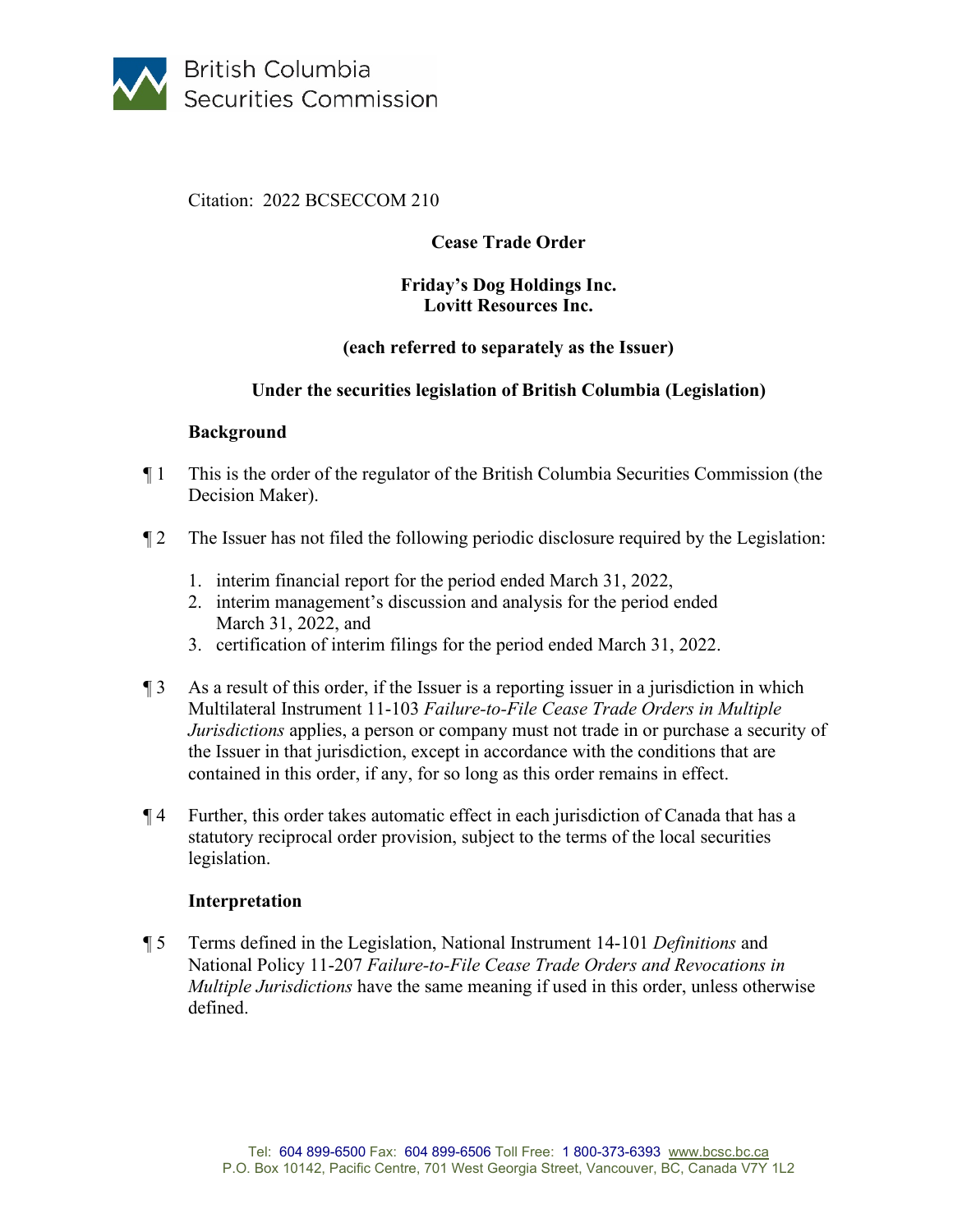

# Citation: 2022 BCSECCOM 210

# **Cease Trade Order**

#### **Friday's Dog Holdings Inc. Lovitt Resources Inc.**

## **(each referred to separately as the Issuer)**

## **Under the securities legislation of British Columbia (Legislation)**

#### **Background**

- ¶ 1 This is the order of the regulator of the British Columbia Securities Commission (the Decision Maker).
- ¶ 2 The Issuer has not filed the following periodic disclosure required by the Legislation:
	- 1. interim financial report for the period ended March 31, 2022,
	- 2. interim management's discussion and analysis for the period ended March 31, 2022, and
	- 3. certification of interim filings for the period ended March 31, 2022.
- $\sqrt{3}$  As a result of this order, if the Issuer is a reporting issuer in a jurisdiction in which Multilateral Instrument 11-103 *Failure-to-File Cease Trade Orders in Multiple Jurisdictions* applies, a person or company must not trade in or purchase a security of the Issuer in that jurisdiction, except in accordance with the conditions that are contained in this order, if any, for so long as this order remains in effect.
- ¶ 4 Further, this order takes automatic effect in each jurisdiction of Canada that has a statutory reciprocal order provision, subject to the terms of the local securities legislation.

#### **Interpretation**

¶ 5 Terms defined in the Legislation, National Instrument 14-101 *Definitions* and National Policy 11-207 *Failure-to-File Cease Trade Orders and Revocations in Multiple Jurisdictions* have the same meaning if used in this order, unless otherwise defined.